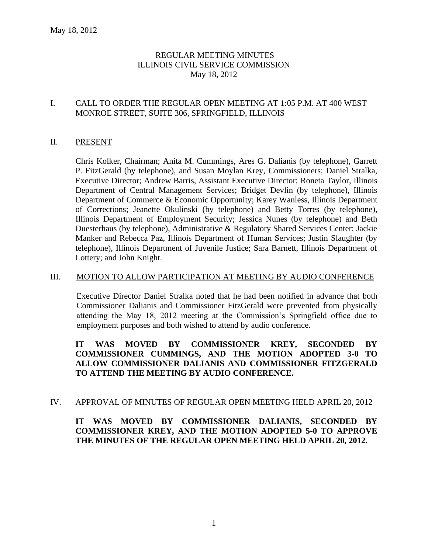# REGULAR MEETING MINUTES ILLINOIS CIVIL SERVICE COMMISSION May 18, 2012

# I. CALL TO ORDER THE REGULAR OPEN MEETING AT 1:05 P.M. AT 400 WEST MONROE STREET, SUITE 306, SPRINGFIELD, ILLINOIS

# II. PRESENT

Chris Kolker, Chairman; Anita M. Cummings, Ares G. Dalianis (by telephone), Garrett P. FitzGerald (by telephone), and Susan Moylan Krey, Commissioners; Daniel Stralka, Executive Director; Andrew Barris, Assistant Executive Director; Roneta Taylor, Illinois Department of Central Management Services; Bridget Devlin (by telephone), Illinois Department of Commerce & Economic Opportunity; Karey Wanless, Illinois Department of Corrections; Jeanette Okulinski (by telephone) and Betty Torres (by telephone), Illinois Department of Employment Security; Jessica Nunes (by telephone) and Beth Duesterhaus (by telephone), Administrative & Regulatory Shared Services Center; Jackie Manker and Rebecca Paz, Illinois Department of Human Services; Justin Slaughter (by telephone), Illinois Department of Juvenile Justice; Sara Barnett, Illinois Department of Lottery; and John Knight.

# III. MOTION TO ALLOW PARTICIPATION AT MEETING BY AUDIO CONFERENCE

Executive Director Daniel Stralka noted that he had been notified in advance that both Commissioner Dalianis and Commissioner FitzGerald were prevented from physically attending the May 18, 2012 meeting at the Commission's Springfield office due to employment purposes and both wished to attend by audio conference.

# **IT WAS MOVED BY COMMISSIONER KREY, SECONDED BY COMMISSIONER CUMMINGS, AND THE MOTION ADOPTED 3-0 TO ALLOW COMMISSIONER DALIANIS AND COMMISSIONER FITZGERALD TO ATTEND THE MEETING BY AUDIO CONFERENCE.**

# IV. APPROVAL OF MINUTES OF REGULAR OPEN MEETING HELD APRIL 20, 2012

**IT WAS MOVED BY COMMISSIONER DALIANIS, SECONDED BY COMMISSIONER KREY, AND THE MOTION ADOPTED 5-0 TO APPROVE THE MINUTES OF THE REGULAR OPEN MEETING HELD APRIL 20, 2012.**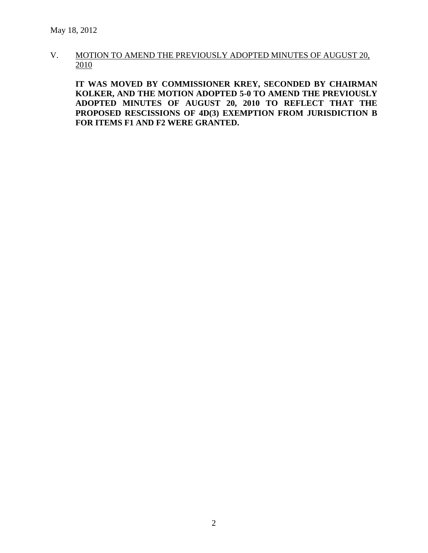# V. MOTION TO AMEND THE PREVIOUSLY ADOPTED MINUTES OF AUGUST 20, 2010

**IT WAS MOVED BY COMMISSIONER KREY, SECONDED BY CHAIRMAN KOLKER, AND THE MOTION ADOPTED 5-0 TO AMEND THE PREVIOUSLY ADOPTED MINUTES OF AUGUST 20, 2010 TO REFLECT THAT THE PROPOSED RESCISSIONS OF 4D(3) EXEMPTION FROM JURISDICTION B FOR ITEMS F1 AND F2 WERE GRANTED.**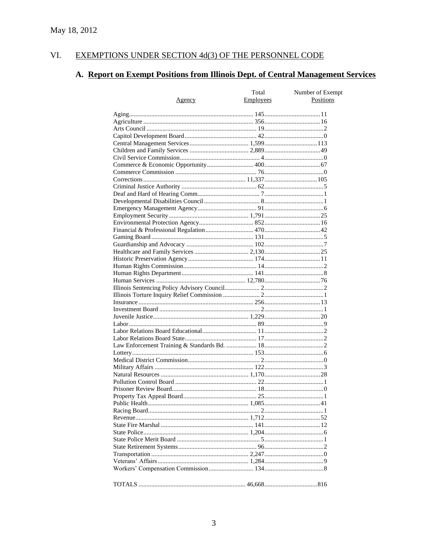#### VI. EXEMPTIONS UNDER SECTION 4d(3) OF THE PERSONNEL CODE

# A. Report on Exempt Positions from Illinois Dept. of Central Management Services

| <u>Agency</u> | Total<br><b>Employees</b> | Number of Exempt<br>Positions |
|---------------|---------------------------|-------------------------------|
|               |                           |                               |
|               |                           |                               |
|               |                           |                               |
|               |                           |                               |
|               |                           |                               |
|               |                           |                               |
|               |                           |                               |
|               |                           |                               |
|               |                           |                               |
|               |                           |                               |
|               |                           |                               |
|               |                           |                               |
|               |                           |                               |
|               |                           |                               |
|               |                           |                               |
|               |                           |                               |
|               |                           |                               |
|               |                           |                               |
|               |                           |                               |
|               |                           |                               |
|               |                           |                               |
|               |                           |                               |
|               |                           |                               |
|               |                           |                               |
|               |                           |                               |
|               |                           |                               |
|               |                           |                               |
|               |                           |                               |
|               |                           |                               |
|               |                           |                               |
|               |                           |                               |
|               |                           |                               |
|               |                           |                               |
|               |                           |                               |
|               |                           |                               |
|               |                           |                               |
|               |                           |                               |
|               |                           |                               |
|               |                           |                               |
|               |                           |                               |
|               |                           |                               |
|               |                           |                               |
|               |                           |                               |
|               |                           |                               |
|               |                           |                               |
|               |                           |                               |
|               |                           |                               |
|               |                           |                               |
|               |                           |                               |
|               |                           |                               |
|               |                           |                               |
|               |                           |                               |
|               |                           |                               |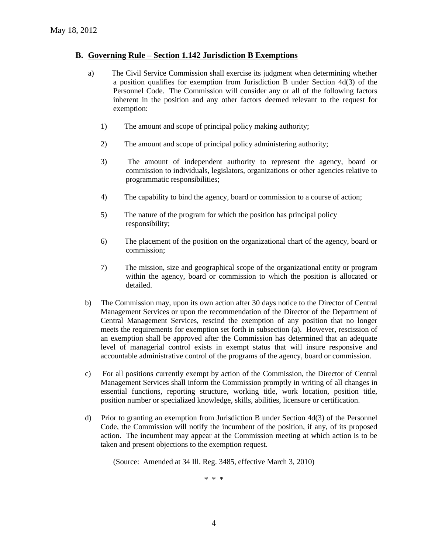### **B. Governing Rule – Section 1.142 Jurisdiction B Exemptions**

- a) The Civil Service Commission shall exercise its judgment when determining whether a position qualifies for exemption from Jurisdiction B under Section 4d(3) of the Personnel Code. The Commission will consider any or all of the following factors inherent in the position and any other factors deemed relevant to the request for exemption:
	- 1) The amount and scope of principal policy making authority;
	- 2) The amount and scope of principal policy administering authority;
	- 3) The amount of independent authority to represent the agency, board or commission to individuals, legislators, organizations or other agencies relative to programmatic responsibilities;
	- 4) The capability to bind the agency, board or commission to a course of action;
	- 5) The nature of the program for which the position has principal policy responsibility;
	- 6) The placement of the position on the organizational chart of the agency, board or commission;
	- 7) The mission, size and geographical scope of the organizational entity or program within the agency, board or commission to which the position is allocated or detailed.
- b) The Commission may, upon its own action after 30 days notice to the Director of Central Management Services or upon the recommendation of the Director of the Department of Central Management Services, rescind the exemption of any position that no longer meets the requirements for exemption set forth in subsection (a). However, rescission of an exemption shall be approved after the Commission has determined that an adequate level of managerial control exists in exempt status that will insure responsive and accountable administrative control of the programs of the agency, board or commission.
- c) For all positions currently exempt by action of the Commission, the Director of Central Management Services shall inform the Commission promptly in writing of all changes in essential functions, reporting structure, working title, work location, position title, position number or specialized knowledge, skills, abilities, licensure or certification.
- d) Prior to granting an exemption from Jurisdiction B under Section 4d(3) of the Personnel Code, the Commission will notify the incumbent of the position, if any, of its proposed action. The incumbent may appear at the Commission meeting at which action is to be taken and present objections to the exemption request.

(Source: Amended at 34 Ill. Reg. 3485, effective March 3, 2010)

\* \* \*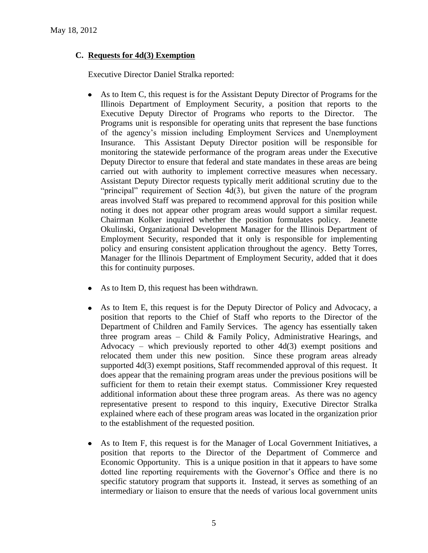# **C. Requests for 4d(3) Exemption**

Executive Director Daniel Stralka reported:

- $\bullet$ As to Item C, this request is for the Assistant Deputy Director of Programs for the Illinois Department of Employment Security, a position that reports to the Executive Deputy Director of Programs who reports to the Director. The Programs unit is responsible for operating units that represent the base functions of the agency's mission including Employment Services and Unemployment Insurance. This Assistant Deputy Director position will be responsible for monitoring the statewide performance of the program areas under the Executive Deputy Director to ensure that federal and state mandates in these areas are being carried out with authority to implement corrective measures when necessary. Assistant Deputy Director requests typically merit additional scrutiny due to the "principal" requirement of Section 4d(3), but given the nature of the program areas involved Staff was prepared to recommend approval for this position while noting it does not appear other program areas would support a similar request. Chairman Kolker inquired whether the position formulates policy. Jeanette Okulinski, Organizational Development Manager for the Illinois Department of Employment Security, responded that it only is responsible for implementing policy and ensuring consistent application throughout the agency. Betty Torres, Manager for the Illinois Department of Employment Security, added that it does this for continuity purposes.
- As to Item D, this request has been withdrawn.
- As to Item E, this request is for the Deputy Director of Policy and Advocacy, a  $\bullet$ position that reports to the Chief of Staff who reports to the Director of the Department of Children and Family Services. The agency has essentially taken three program areas – Child & Family Policy, Administrative Hearings, and Advocacy – which previously reported to other  $4d(3)$  exempt positions and relocated them under this new position. Since these program areas already supported 4d(3) exempt positions, Staff recommended approval of this request. It does appear that the remaining program areas under the previous positions will be sufficient for them to retain their exempt status. Commissioner Krey requested additional information about these three program areas. As there was no agency representative present to respond to this inquiry, Executive Director Stralka explained where each of these program areas was located in the organization prior to the establishment of the requested position.
- As to Item F, this request is for the Manager of Local Government Initiatives, a  $\bullet$ position that reports to the Director of the Department of Commerce and Economic Opportunity. This is a unique position in that it appears to have some dotted line reporting requirements with the Governor's Office and there is no specific statutory program that supports it. Instead, it serves as something of an intermediary or liaison to ensure that the needs of various local government units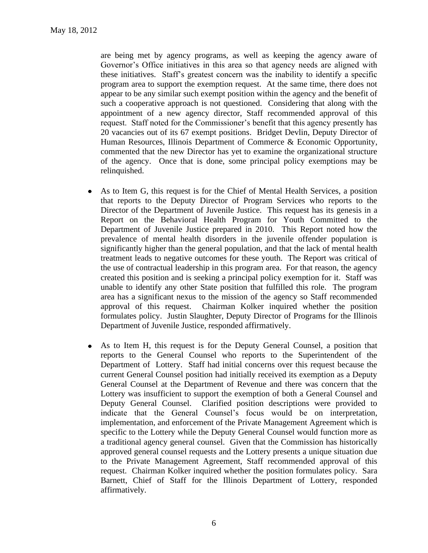are being met by agency programs, as well as keeping the agency aware of Governor's Office initiatives in this area so that agency needs are aligned with these initiatives. Staff's greatest concern was the inability to identify a specific program area to support the exemption request. At the same time, there does not appear to be any similar such exempt position within the agency and the benefit of such a cooperative approach is not questioned. Considering that along with the appointment of a new agency director, Staff recommended approval of this request. Staff noted for the Commissioner's benefit that this agency presently has 20 vacancies out of its 67 exempt positions. Bridget Devlin, Deputy Director of Human Resources, Illinois Department of Commerce & Economic Opportunity, commented that the new Director has yet to examine the organizational structure of the agency. Once that is done, some principal policy exemptions may be relinquished.

- As to Item G, this request is for the Chief of Mental Health Services, a position  $\bullet$ that reports to the Deputy Director of Program Services who reports to the Director of the Department of Juvenile Justice. This request has its genesis in a Report on the Behavioral Health Program for Youth Committed to the Department of Juvenile Justice prepared in 2010. This Report noted how the prevalence of mental health disorders in the juvenile offender population is significantly higher than the general population, and that the lack of mental health treatment leads to negative outcomes for these youth. The Report was critical of the use of contractual leadership in this program area. For that reason, the agency created this position and is seeking a principal policy exemption for it. Staff was unable to identify any other State position that fulfilled this role. The program area has a significant nexus to the mission of the agency so Staff recommended approval of this request. Chairman Kolker inquired whether the position formulates policy. Justin Slaughter, Deputy Director of Programs for the Illinois Department of Juvenile Justice, responded affirmatively.
- As to Item H, this request is for the Deputy General Counsel, a position that  $\bullet$ reports to the General Counsel who reports to the Superintendent of the Department of Lottery. Staff had initial concerns over this request because the current General Counsel position had initially received its exemption as a Deputy General Counsel at the Department of Revenue and there was concern that the Lottery was insufficient to support the exemption of both a General Counsel and Deputy General Counsel. Clarified position descriptions were provided to indicate that the General Counsel's focus would be on interpretation, implementation, and enforcement of the Private Management Agreement which is specific to the Lottery while the Deputy General Counsel would function more as a traditional agency general counsel. Given that the Commission has historically approved general counsel requests and the Lottery presents a unique situation due to the Private Management Agreement, Staff recommended approval of this request. Chairman Kolker inquired whether the position formulates policy. Sara Barnett, Chief of Staff for the Illinois Department of Lottery, responded affirmatively.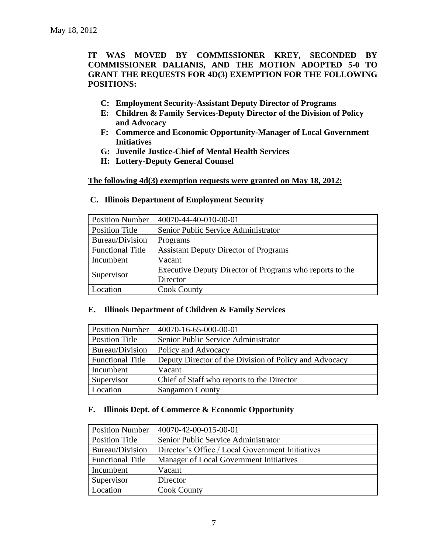**IT WAS MOVED BY COMMISSIONER KREY, SECONDED BY COMMISSIONER DALIANIS, AND THE MOTION ADOPTED 5-0 TO GRANT THE REQUESTS FOR 4D(3) EXEMPTION FOR THE FOLLOWING POSITIONS:**

- **C: Employment Security-Assistant Deputy Director of Programs**
- **E: Children & Family Services-Deputy Director of the Division of Policy and Advocacy**
- **F: Commerce and Economic Opportunity-Manager of Local Government Initiatives**
- **G: Juvenile Justice-Chief of Mental Health Services**
- **H: Lottery-Deputy General Counsel**

**The following 4d(3) exemption requests were granted on May 18, 2012:**

| <b>Position Number</b>  | 40070-44-40-010-00-01                                    |  |
|-------------------------|----------------------------------------------------------|--|
| <b>Position Title</b>   | Senior Public Service Administrator                      |  |
| Bureau/Division         | Programs                                                 |  |
| <b>Functional Title</b> | <b>Assistant Deputy Director of Programs</b>             |  |
| Incumbent               | Vacant                                                   |  |
|                         | Executive Deputy Director of Programs who reports to the |  |
| Supervisor              | Director                                                 |  |
| Location                | <b>Cook County</b>                                       |  |

## **C. Illinois Department of Employment Security**

#### **E. Illinois Department of Children & Family Services**

| <b>Position Number</b>  | 40070-16-65-000-00-01                                  |
|-------------------------|--------------------------------------------------------|
| <b>Position Title</b>   | Senior Public Service Administrator                    |
| Bureau/Division         | Policy and Advocacy                                    |
| <b>Functional Title</b> | Deputy Director of the Division of Policy and Advocacy |
| Incumbent               | Vacant                                                 |
| Supervisor              | Chief of Staff who reports to the Director             |
| Location                | <b>Sangamon County</b>                                 |

#### **F. Illinois Dept. of Commerce & Economic Opportunity**

| <b>Position Number</b>  | 40070-42-00-015-00-01                            |  |
|-------------------------|--------------------------------------------------|--|
| <b>Position Title</b>   | Senior Public Service Administrator              |  |
| Bureau/Division         | Director's Office / Local Government Initiatives |  |
| <b>Functional Title</b> | Manager of Local Government Initiatives          |  |
| Incumbent               | Vacant                                           |  |
| Supervisor              | Director                                         |  |
| Location                | <b>Cook County</b>                               |  |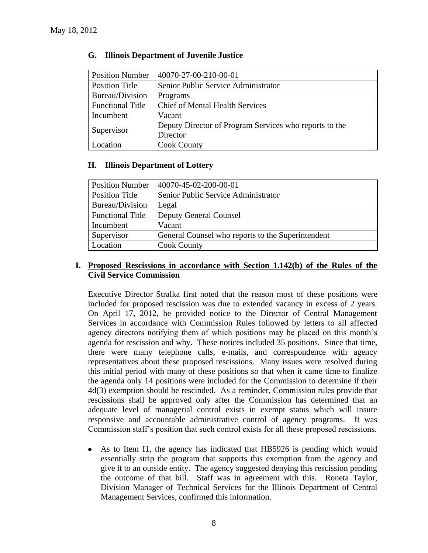| <b>Position Number</b>  | 40070-27-00-210-00-01                                  |  |
|-------------------------|--------------------------------------------------------|--|
| <b>Position Title</b>   | Senior Public Service Administrator                    |  |
| Bureau/Division         | Programs                                               |  |
| <b>Functional Title</b> | <b>Chief of Mental Health Services</b>                 |  |
| Incumbent               | Vacant                                                 |  |
|                         | Deputy Director of Program Services who reports to the |  |
| Supervisor              | Director                                               |  |
| Location                | <b>Cook County</b>                                     |  |

# **G. Illinois Department of Juvenile Justice**

# **H. Illinois Department of Lottery**

| <b>Position Number</b>  | 40070-45-02-200-00-01                             |  |
|-------------------------|---------------------------------------------------|--|
| <b>Position Title</b>   | Senior Public Service Administrator               |  |
| Bureau/Division         | Legal                                             |  |
| <b>Functional Title</b> | <b>Deputy General Counsel</b>                     |  |
| Incumbent               | Vacant                                            |  |
| Supervisor              | General Counsel who reports to the Superintendent |  |
| Location                | <b>Cook County</b>                                |  |

# **I. Proposed Rescissions in accordance with Section 1.142(b) of the Rules of the Civil Service Commission**

Executive Director Stralka first noted that the reason most of these positions were included for proposed rescission was due to extended vacancy in excess of 2 years. On April 17, 2012, he provided notice to the Director of Central Management Services in accordance with Commission Rules followed by letters to all affected agency directors notifying them of which positions may be placed on this month's agenda for rescission and why. These notices included 35 positions. Since that time, there were many telephone calls, e-mails, and correspondence with agency representatives about these proposed rescissions. Many issues were resolved during this initial period with many of these positions so that when it came time to finalize the agenda only 14 positions were included for the Commission to determine if their 4d(3) exemption should be rescinded. As a reminder, Commission rules provide that rescissions shall be approved only after the Commission has determined that an adequate level of managerial control exists in exempt status which will insure responsive and accountable administrative control of agency programs. It was Commission staff's position that such control exists for all these proposed rescissions.

As to Item I1, the agency has indicated that HB5926 is pending which would  $\bullet$ essentially strip the program that supports this exemption from the agency and give it to an outside entity. The agency suggested denying this rescission pending the outcome of that bill. Staff was in agreement with this. Roneta Taylor, Division Manager of Technical Services for the Illinois Department of Central Management Services, confirmed this information.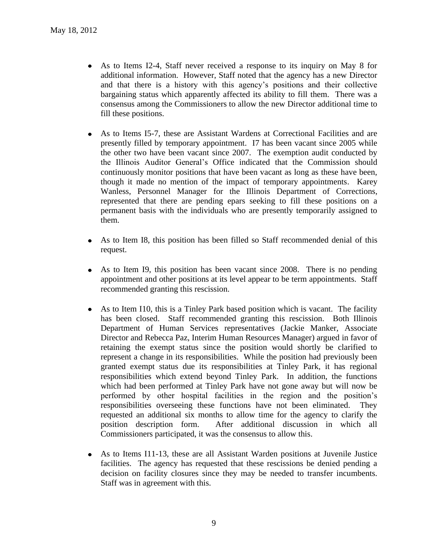- As to Items I2-4, Staff never received a response to its inquiry on May 8 for additional information. However, Staff noted that the agency has a new Director and that there is a history with this agency's positions and their collective bargaining status which apparently affected its ability to fill them. There was a consensus among the Commissioners to allow the new Director additional time to fill these positions.
- $\bullet$ As to Items I5-7, these are Assistant Wardens at Correctional Facilities and are presently filled by temporary appointment. I7 has been vacant since 2005 while the other two have been vacant since 2007. The exemption audit conducted by the Illinois Auditor General's Office indicated that the Commission should continuously monitor positions that have been vacant as long as these have been, though it made no mention of the impact of temporary appointments. Karey Wanless, Personnel Manager for the Illinois Department of Corrections, represented that there are pending epars seeking to fill these positions on a permanent basis with the individuals who are presently temporarily assigned to them.
- As to Item I8, this position has been filled so Staff recommended denial of this  $\bullet$ request.
- As to Item I9, this position has been vacant since 2008. There is no pending  $\bullet$ appointment and other positions at its level appear to be term appointments. Staff recommended granting this rescission.
- As to Item I10, this is a Tinley Park based position which is vacant. The facility has been closed. Staff recommended granting this rescission. Both Illinois Department of Human Services representatives (Jackie Manker, Associate Director and Rebecca Paz, Interim Human Resources Manager) argued in favor of retaining the exempt status since the position would shortly be clarified to represent a change in its responsibilities. While the position had previously been granted exempt status due its responsibilities at Tinley Park, it has regional responsibilities which extend beyond Tinley Park. In addition, the functions which had been performed at Tinley Park have not gone away but will now be performed by other hospital facilities in the region and the position's responsibilities overseeing these functions have not been eliminated. They requested an additional six months to allow time for the agency to clarify the position description form. After additional discussion in which all Commissioners participated, it was the consensus to allow this.
- As to Items I11-13, these are all Assistant Warden positions at Juvenile Justice facilities. The agency has requested that these rescissions be denied pending a decision on facility closures since they may be needed to transfer incumbents. Staff was in agreement with this.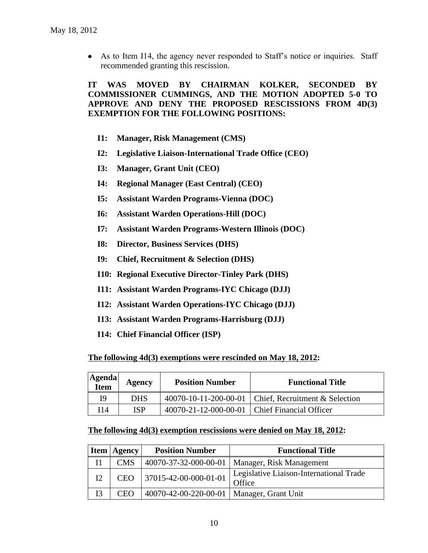As to Item I14, the agency never responded to Staff's notice or inquiries. Staff recommended granting this rescission.

**IT WAS MOVED BY CHAIRMAN KOLKER, SECONDED BY COMMISSIONER CUMMINGS, AND THE MOTION ADOPTED 5-0 TO APPROVE AND DENY THE PROPOSED RESCISSIONS FROM 4D(3) EXEMPTION FOR THE FOLLOWING POSITIONS:**

- **I1: Manager, Risk Management (CMS)**
- **I2: Legislative Liaison-International Trade Office (CEO)**
- **I3: Manager, Grant Unit (CEO)**
- **I4: Regional Manager (East Central) (CEO)**
- **I5: Assistant Warden Programs-Vienna (DOC)**
- **I6: Assistant Warden Operations-Hill (DOC)**
- **I7: Assistant Warden Programs-Western Illinois (DOC)**
- **I8: Director, Business Services (DHS)**
- **I9: Chief, Recruitment & Selection (DHS)**
- **I10: Regional Executive Director-Tinley Park (DHS)**
- **I11: Assistant Warden Programs-IYC Chicago (DJJ)**
- **I12: Assistant Warden Operations-IYC Chicago (DJJ)**
- **I13: Assistant Warden Programs-Harrisburg (DJJ)**
- **I14: Chief Financial Officer (ISP)**

#### **The following 4d(3) exemptions were rescinded on May 18, 2012:**

| <b>Agenda</b><br>Item | Agency     | <b>Position Number</b>                          | <b>Functional Title</b>                                |
|-----------------------|------------|-------------------------------------------------|--------------------------------------------------------|
| I9                    | <b>DHS</b> |                                                 | 40070-10-11-200-00-01   Chief, Recruitment & Selection |
| 14                    | ISP        | 40070-21-12-000-00-01   Chief Financial Officer |                                                        |

## **The following 4d(3) exemption rescissions were denied on May 18, 2012:**

|    | <b>Item   Agency</b> | <b>Position Number</b>                      | <b>Functional Title</b>                           |
|----|----------------------|---------------------------------------------|---------------------------------------------------|
|    | <b>CMS</b>           |                                             | 40070-37-32-000-00-01   Manager, Risk Management  |
| I2 | <b>CEO</b>           | $37015 - 42 - 00 - 000 - 01 - 01$           | Legislative Liaison-International Trade<br>Office |
| Ι3 | CEO                  | 40070-42-00-220-00-01   Manager, Grant Unit |                                                   |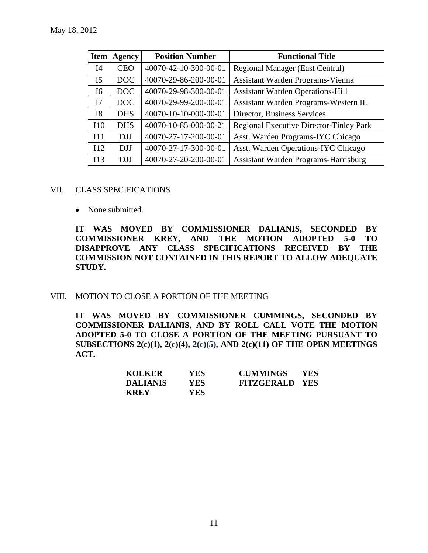| Item           | <b>Agency</b> | <b>Position Number</b> | <b>Functional Title</b>                     |
|----------------|---------------|------------------------|---------------------------------------------|
| I4             | <b>CEO</b>    | 40070-42-10-300-00-01  | <b>Regional Manager (East Central)</b>      |
| I <sub>5</sub> | DOC           | 40070-29-86-200-00-01  | Assistant Warden Programs-Vienna            |
| I6             | DOC           | 40070-29-98-300-00-01  | <b>Assistant Warden Operations-Hill</b>     |
| I7             | DOC           | 40070-29-99-200-00-01  | Assistant Warden Programs-Western IL        |
| <b>I8</b>      | <b>DHS</b>    | 40070-10-10-000-00-01  | Director, Business Services                 |
| I10            | <b>DHS</b>    | 40070-10-85-000-00-21  | Regional Executive Director-Tinley Park     |
| I11            | <b>DJJ</b>    | 40070-27-17-200-00-01  | Asst. Warden Programs-IYC Chicago           |
| 112            | <b>DJJ</b>    | 40070-27-17-300-00-01  | Asst. Warden Operations-IYC Chicago         |
| I13            | <b>DJJ</b>    | 40070-27-20-200-00-01  | <b>Assistant Warden Programs-Harrisburg</b> |

#### VII. CLASS SPECIFICATIONS

• None submitted.

**IT WAS MOVED BY COMMISSIONER DALIANIS, SECONDED BY COMMISSIONER KREY, AND THE MOTION ADOPTED 5-0 TO DISAPPROVE ANY CLASS SPECIFICATIONS RECEIVED BY THE COMMISSION NOT CONTAINED IN THIS REPORT TO ALLOW ADEQUATE STUDY.** 

# VIII. MOTION TO CLOSE A PORTION OF THE MEETING

**IT WAS MOVED BY COMMISSIONER CUMMINGS, SECONDED BY COMMISSIONER DALIANIS, AND BY ROLL CALL VOTE THE MOTION ADOPTED 5-0 TO CLOSE A PORTION OF THE MEETING PURSUANT TO SUBSECTIONS 2(c)(1), 2(c)(4), 2(c)(5), AND 2(c)(11) OF THE OPEN MEETINGS ACT.**

| <b>KOLKER</b>   | YES. | <b>CUMMINGS</b>       | <b>YES</b> |
|-----------------|------|-----------------------|------------|
| <b>DALIANIS</b> | YES  | <b>FITZGERALD YES</b> |            |
| <b>KREY</b>     | YES. |                       |            |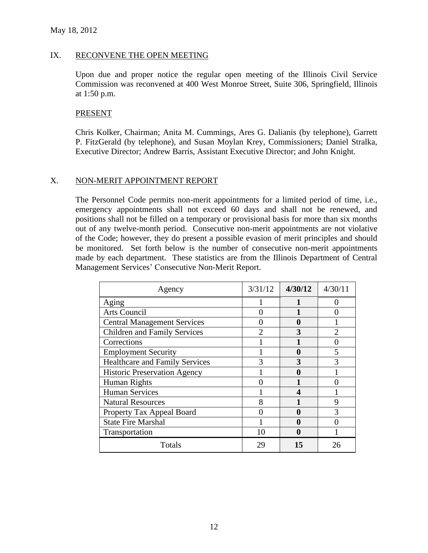#### IX. RECONVENE THE OPEN MEETING

Upon due and proper notice the regular open meeting of the Illinois Civil Service Commission was reconvened at 400 West Monroe Street, Suite 306, Springfield, Illinois at 1:50 p.m.

## PRESENT

Chris Kolker, Chairman; Anita M. Cummings, Ares G. Dalianis (by telephone), Garrett P. FitzGerald (by telephone), and Susan Moylan Krey, Commissioners; Daniel Stralka, Executive Director; Andrew Barris, Assistant Executive Director; and John Knight.

# X. NON-MERIT APPOINTMENT REPORT

The Personnel Code permits non-merit appointments for a limited period of time, i.e., emergency appointments shall not exceed 60 days and shall not be renewed, and positions shall not be filled on a temporary or provisional basis for more than six months out of any twelve-month period. Consecutive non-merit appointments are not violative of the Code; however, they do present a possible evasion of merit principles and should be monitored. Set forth below is the number of consecutive non-merit appointments made by each department. These statistics are from the Illinois Department of Central Management Services' Consecutive Non-Merit Report.

| Agency                                | 3/31/12       | 4/30/12 | 4/30/11                     |
|---------------------------------------|---------------|---------|-----------------------------|
| Aging                                 |               |         |                             |
| Arts Council                          |               |         |                             |
| <b>Central Management Services</b>    |               | O       |                             |
| <b>Children and Family Services</b>   | $\mathcal{D}$ | 3       | $\mathcal{D}_{\mathcal{L}}$ |
| Corrections                           |               |         |                             |
| <b>Employment Security</b>            |               | 0       | 5                           |
| <b>Healthcare and Family Services</b> |               | 3       |                             |
| <b>Historic Preservation Agency</b>   |               | A       |                             |
| Human Rights                          |               |         |                             |
| <b>Human Services</b>                 |               | 4       |                             |
| <b>Natural Resources</b>              | 8             |         | 9                           |
| Property Tax Appeal Board             |               |         |                             |
| <b>State Fire Marshal</b>             |               |         |                             |
| Transportation                        | 10            | O       |                             |
| Totals                                | 29            | 15      | 26                          |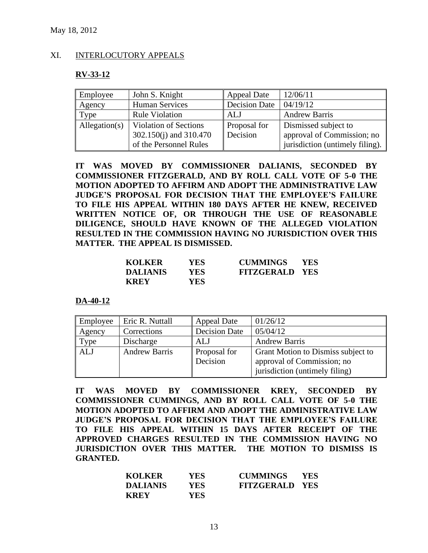# XI. INTERLOCUTORY APPEALS

## **RV-33-12**

| Employee      | John S. Knight               | <b>Appeal Date</b>   | 12/06/11                        |
|---------------|------------------------------|----------------------|---------------------------------|
| Agency        | <b>Human Services</b>        | <b>Decision Date</b> | 04/19/12                        |
| Type          | <b>Rule Violation</b>        | ALJ                  | <b>Andrew Barris</b>            |
| Allegation(s) | <b>Violation of Sections</b> | Proposal for         | Dismissed subject to            |
|               | 302.150(j) and 310.470       | Decision             | approval of Commission; no      |
|               | of the Personnel Rules       |                      | jurisdiction (untimely filing). |

**IT WAS MOVED BY COMMISSIONER DALIANIS, SECONDED BY COMMISSIONER FITZGERALD, AND BY ROLL CALL VOTE OF 5-0 THE MOTION ADOPTED TO AFFIRM AND ADOPT THE ADMINISTRATIVE LAW JUDGE'S PROPOSAL FOR DECISION THAT THE EMPLOYEE'S FAILURE TO FILE HIS APPEAL WITHIN 180 DAYS AFTER HE KNEW, RECEIVED WRITTEN NOTICE OF, OR THROUGH THE USE OF REASONABLE DILIGENCE, SHOULD HAVE KNOWN OF THE ALLEGED VIOLATION RESULTED IN THE COMMISSION HAVING NO JURISDICTION OVER THIS MATTER. THE APPEAL IS DISMISSED.**

| <b>KOLKER</b>   | YES  | <b>CUMMINGS</b>       | <b>YES</b> |
|-----------------|------|-----------------------|------------|
| <b>DALIANIS</b> | YES  | <b>FITZGERALD YES</b> |            |
| <b>KREY</b>     | YES. |                       |            |

**DA-40-12**

| Employee   | Eric R. Nuttall      | <b>Appeal Date</b>       | 01/26/12                                                         |
|------------|----------------------|--------------------------|------------------------------------------------------------------|
| Agency     | Corrections          | <b>Decision Date</b>     | 05/04/12                                                         |
| Type       | Discharge            | ALJ                      | <b>Andrew Barris</b>                                             |
| <b>ALJ</b> | <b>Andrew Barris</b> | Proposal for<br>Decision | Grant Motion to Dismiss subject to<br>approval of Commission; no |
|            |                      |                          | jurisdiction (untimely filing)                                   |

**IT WAS MOVED BY COMMISSIONER KREY, SECONDED BY COMMISSIONER CUMMINGS, AND BY ROLL CALL VOTE OF 5-0 THE MOTION ADOPTED TO AFFIRM AND ADOPT THE ADMINISTRATIVE LAW JUDGE'S PROPOSAL FOR DECISION THAT THE EMPLOYEE'S FAILURE TO FILE HIS APPEAL WITHIN 15 DAYS AFTER RECEIPT OF THE APPROVED CHARGES RESULTED IN THE COMMISSION HAVING NO JURISDICTION OVER THIS MATTER. THE MOTION TO DISMISS IS GRANTED.**

| <b>KOLKER</b>   | <b>YES</b> | <b>CUMMINGS</b>       | <b>YES</b> |
|-----------------|------------|-----------------------|------------|
| <b>DALIANIS</b> | <b>YES</b> | <b>FITZGERALD YES</b> |            |
| <b>KREY</b>     | YES        |                       |            |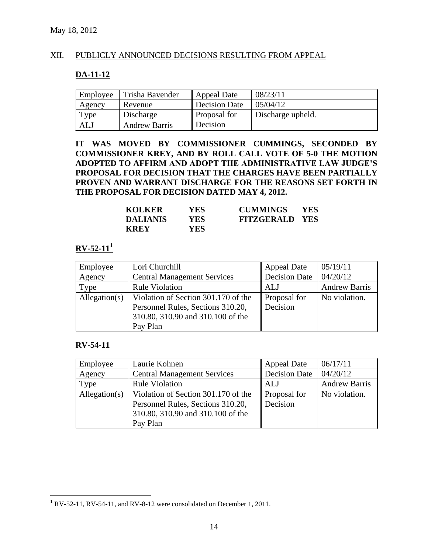# XII. PUBLICLY ANNOUNCED DECISIONS RESULTING FROM APPEAL

# **DA-11-12**

| Employee | Trisha Bavender      | Appeal Date         | 08/23/11          |
|----------|----------------------|---------------------|-------------------|
| Agency   | Revenue              | Decision Date       | 05/04/12          |
| Type     | Discharge            | <b>Proposal for</b> | Discharge upheld. |
| ALJ      | <b>Andrew Barris</b> | Decision            |                   |

**IT WAS MOVED BY COMMISSIONER CUMMINGS, SECONDED BY COMMISSIONER KREY, AND BY ROLL CALL VOTE OF 5-0 THE MOTION ADOPTED TO AFFIRM AND ADOPT THE ADMINISTRATIVE LAW JUDGE'S PROPOSAL FOR DECISION THAT THE CHARGES HAVE BEEN PARTIALLY PROVEN AND WARRANT DISCHARGE FOR THE REASONS SET FORTH IN THE PROPOSAL FOR DECISION DATED MAY 4, 2012.**

| <b>KOLKER</b>   | YES  | <b>CUMMINGS</b>       | <b>YES</b> |
|-----------------|------|-----------------------|------------|
| <b>DALIANIS</b> | YES. | <b>FITZGERALD YES</b> |            |
| <b>KREY</b>     | YES. |                       |            |

# **RV-52-11<sup>1</sup>**

| Employee      | Lori Churchill                      | <b>Appeal Date</b>   | 05/19/11             |
|---------------|-------------------------------------|----------------------|----------------------|
| Agency        | <b>Central Management Services</b>  | <b>Decision Date</b> | 04/20/12             |
| Type          | <b>Rule Violation</b>               | <b>ALJ</b>           | <b>Andrew Barris</b> |
| Allegation(s) | Violation of Section 301.170 of the | Proposal for         | No violation.        |
|               | Personnel Rules, Sections 310.20,   | Decision             |                      |
|               | 310.80, 310.90 and 310.100 of the   |                      |                      |
|               | Pay Plan                            |                      |                      |

# **RV-54-11**

 $\overline{a}$ 

| Employee      | Laurie Kohnen                       | <b>Appeal Date</b>   | 06/17/11             |
|---------------|-------------------------------------|----------------------|----------------------|
| Agency        | <b>Central Management Services</b>  | <b>Decision Date</b> | 04/20/12             |
| Type          | <b>Rule Violation</b>               | <b>ALJ</b>           | <b>Andrew Barris</b> |
| Allegation(s) | Violation of Section 301.170 of the | Proposal for         | No violation.        |
|               | Personnel Rules, Sections 310.20,   | Decision             |                      |
|               | 310.80, 310.90 and 310.100 of the   |                      |                      |
|               | Pay Plan                            |                      |                      |

<sup>&</sup>lt;sup>1</sup> RV-52-11, RV-54-11, and RV-8-12 were consolidated on December 1, 2011.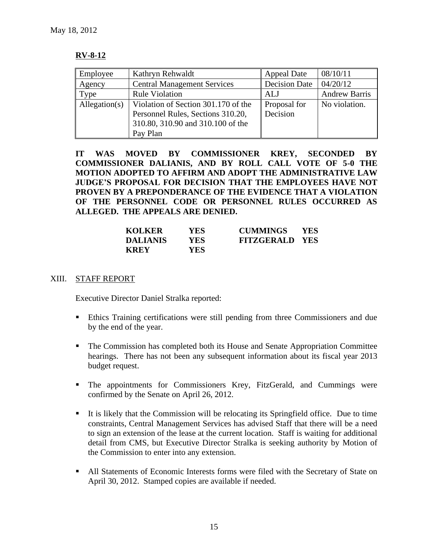# **RV-8-12**

| Employee      | Kathryn Rehwaldt                    | <b>Appeal Date</b>   | 08/10/11             |
|---------------|-------------------------------------|----------------------|----------------------|
| Agency        | <b>Central Management Services</b>  | <b>Decision Date</b> | 04/20/12             |
| Type          | <b>Rule Violation</b>               | ALJ                  | <b>Andrew Barris</b> |
| Allegation(s) | Violation of Section 301.170 of the | Proposal for         | No violation.        |
|               | Personnel Rules, Sections 310.20,   | Decision             |                      |
|               | 310.80, 310.90 and 310.100 of the   |                      |                      |
|               | Pay Plan                            |                      |                      |

**IT WAS MOVED BY COMMISSIONER KREY, SECONDED BY COMMISSIONER DALIANIS, AND BY ROLL CALL VOTE OF 5-0 THE MOTION ADOPTED TO AFFIRM AND ADOPT THE ADMINISTRATIVE LAW JUDGE'S PROPOSAL FOR DECISION THAT THE EMPLOYEES HAVE NOT PROVEN BY A PREPONDERANCE OF THE EVIDENCE THAT A VIOLATION OF THE PERSONNEL CODE OR PERSONNEL RULES OCCURRED AS ALLEGED. THE APPEALS ARE DENIED.**

| <b>KOLKER</b>   | YES. | <b>CUMMINGS</b>       | <b>YES</b> |
|-----------------|------|-----------------------|------------|
| <b>DALIANIS</b> | YES. | <b>FITZGERALD YES</b> |            |
| <b>KREY</b>     | YES. |                       |            |

# XIII. STAFF REPORT

Executive Director Daniel Stralka reported:

- Ethics Training certifications were still pending from three Commissioners and due by the end of the year.
- The Commission has completed both its House and Senate Appropriation Committee hearings. There has not been any subsequent information about its fiscal year 2013 budget request.
- The appointments for Commissioners Krey, FitzGerald, and Cummings were confirmed by the Senate on April 26, 2012.
- It is likely that the Commission will be relocating its Springfield office. Due to time constraints, Central Management Services has advised Staff that there will be a need to sign an extension of the lease at the current location. Staff is waiting for additional detail from CMS, but Executive Director Stralka is seeking authority by Motion of the Commission to enter into any extension.
- All Statements of Economic Interests forms were filed with the Secretary of State on April 30, 2012. Stamped copies are available if needed.